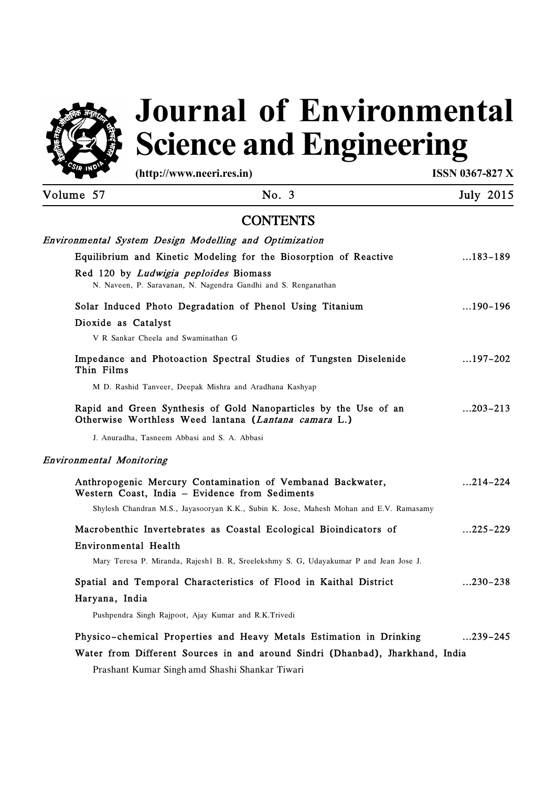

# **Science and Engineering Journal of Environmental**

**(http://www.neeri.res.in) ISSN 0367-827 X** 

| Volume 57 | No. 3                                                                                                                    | <b>July 2015</b> |
|-----------|--------------------------------------------------------------------------------------------------------------------------|------------------|
|           | <b>CONTENTS</b>                                                                                                          |                  |
|           | Environmental System Design Modelling and Optimization                                                                   |                  |
|           | Equilibrium and Kinetic Modeling for the Biosorption of Reactive                                                         | $\dots$ 183–189  |
|           | Red 120 by Ludwigia peploides Biomass<br>N. Naveen, P. Saravanan, N. Nagendra Gandhi and S. Renganathan                  |                  |
|           | Solar Induced Photo Degradation of Phenol Using Titanium                                                                 | $\dots$ 190-196  |
|           | Dioxide as Catalyst                                                                                                      |                  |
|           | V R Sankar Cheela and Swaminathan G                                                                                      |                  |
|           | Impedance and Photoaction Spectral Studies of Tungsten Diselenide<br>Thin Films                                          | $\dots$ 197–202  |
|           | M D. Rashid Tanveer, Deepak Mishra and Aradhana Kashyap                                                                  |                  |
|           | Rapid and Green Synthesis of Gold Nanoparticles by the Use of an<br>Otherwise Worthless Weed lantana (Lantana camara L.) | $\dots$ 203-213  |
|           | J. Anuradha, Tasneem Abbasi and S. A. Abbasi                                                                             |                  |
|           | Environmental Monitoring                                                                                                 |                  |
|           | Anthropogenic Mercury Contamination of Vembanad Backwater,<br>Western Coast, India - Evidence from Sediments             | $214 - 224$      |
|           | Shylesh Chandran M.S., Jayasooryan K.K., Subin K. Jose, Mahesh Mohan and E.V. Ramasamy                                   |                  |
|           | Macrobenthic Invertebrates as Coastal Ecological Bioindicators of                                                        | $225 - 229$      |
|           | Environmental Health                                                                                                     |                  |
|           | Mary Teresa P. Miranda, Rajesh1 B. R, Sreelekshmy S. G, Udayakumar P and Jean Jose J.                                    |                  |
|           | Spatial and Temporal Characteristics of Flood in Kaithal District                                                        | $\dots$ 230–238  |
|           | Haryana, India                                                                                                           |                  |
|           | Pushpendra Singh Rajpoot, Ajay Kumar and R.K.Trivedi                                                                     |                  |
|           | Physico-chemical Properties and Heavy Metals Estimation in Drinking                                                      | $239 - 245$      |
|           | Water from Different Sources in and around Sindri (Dhanbad), Jharkhand, India                                            |                  |
|           | Prashant Kumar Singh amd Shashi Shankar Tiwari                                                                           |                  |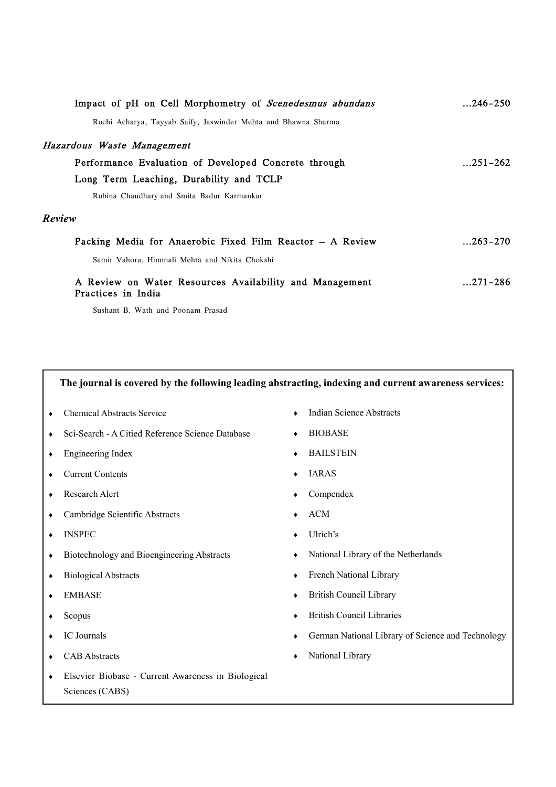| Impact of pH on Cell Morphometry of <i>Scenedesmus abundans</i>               | $\dots$ 246–250 |
|-------------------------------------------------------------------------------|-----------------|
| Ruchi Acharya, Tayyab Saify, Jaswinder Mehta and Bhawna Sharma                |                 |
| Hazardous Waste Management                                                    |                 |
| Performance Evaluation of Developed Concrete through                          | $\dots$ 251–262 |
| Long Term Leaching, Durability and TCLP                                       |                 |
| Rubina Chaudhary and Smita Badur Karmankar                                    |                 |
| Review                                                                        |                 |
| Packing Media for Anaerobic Fixed Film Reactor - A Review                     | $\dots$ 263–270 |
| Samir Vahora, Himmali Mehta and Nikita Chokshi                                |                 |
| A Review on Water Resources Availability and Management<br>Practices in India | $271 - 286$     |

Sushant B. Wath and Poonam Prasad

### **The journal is covered by the following leading abstracting, indexing and current awareness services:**

- Chemical Abstracts Service Indian Science Abstracts
- Sci-Search A Citied Reference Science Database BIOBASE
- Engineering Index BAILSTEIN
- Current Contents IARAS
- Research Alert Compendex
- Cambridge Scientific Abstracts ACM
- INSPEC Ulrich's
- Biotechnology and Bioengineering Abstracts National Library of the Netherlands
- 
- 
- 
- 
- 
- Elsevier Biobase Current Awareness in Biological Sciences (CABS)
- **Indian Science Abstracts**
- 
- 
- 
- 
- 
- 
- 
- Biological Abstracts French National Library
- ◆ EMBASE → British Council Library
- Scopus British Council Libraries
- IC Journals German National Library of Science and Technology
- CAB Abstracts National Library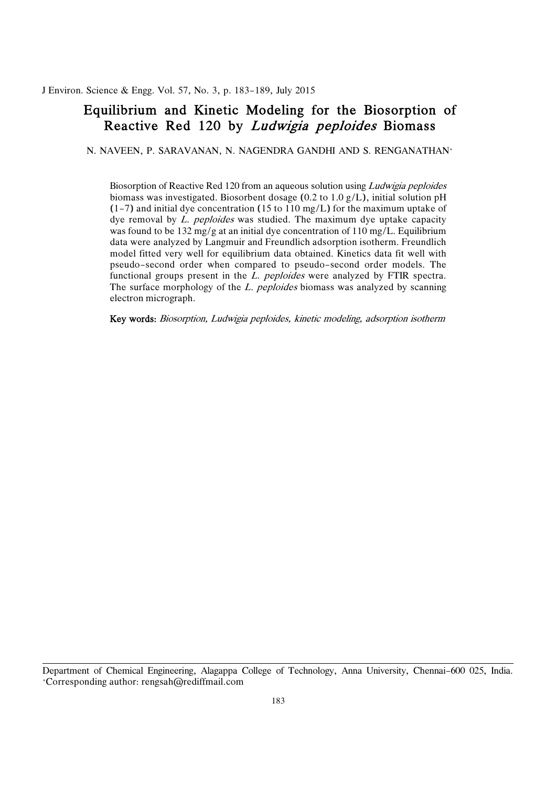J Environ. Science & Engg. Vol. 57, No. 3, p. 183-189, July 2015

### Equilibrium and Kinetic Modeling for the Biosorption of Reactive Red 120 by *Ludwigia peploides* Biomass

N. NAVEEN, P. SARAVANAN, N. NAGENDRA GANDHI AND S. RENGANATHAN+

Biosorption of Reactive Red 120 from an aqueous solution using *Ludwigia peploides*  biomass was investigated. Biosorbent dosage (0.2 to 1.0 g/L), initial solution pH (1-7) and initial dye concentration (15 to 110 mg/L) for the maximum uptake of dye removal by *L. peploides* was studied. The maximum dye uptake capacity was found to be 132 mg/g at an initial dye concentration of 110 mg/L. Equilibrium data were analyzed by Langmuir and Freundlich adsorption isotherm. Freundlich model fitted very well for equilibrium data obtained. Kinetics data fit well with pseudo-second order when compared to pseudo-second order models. The functional groups present in the *L. peploides* were analyzed by FTIR spectra. The surface morphology of the *L. peploides* biomass was analyzed by scanning electron micrograph.

Key words: Biosorption, Ludwigia peploides, kinetic modeling, adsorption isotherm

 Department of Chemical Engineering, Alagappa College of Technology, Anna University, Chennai-600 025, India. +Corresponding author: rengsah@rediffmail.com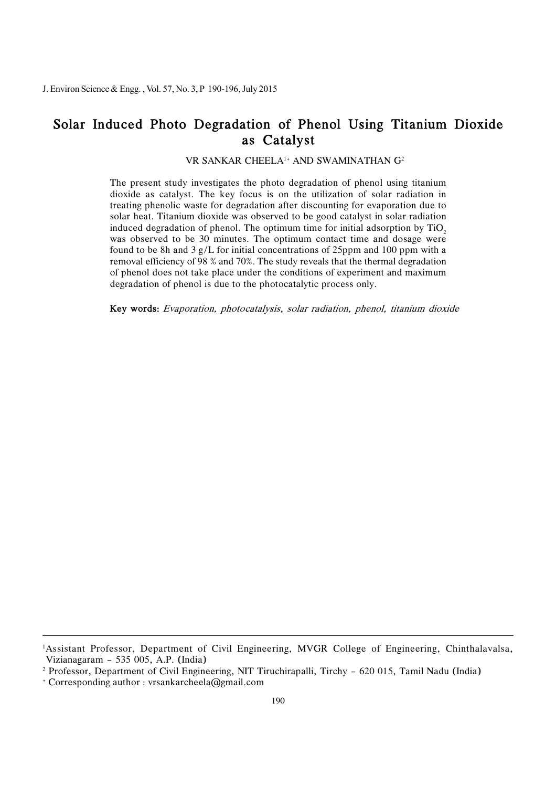### Solar Induced Photo Degradation of Phenol Using Titanium Dioxide as Catalyst

VR SANKAR CHEELA1+ AND SWAMINATHAN G2

 The present study investigates the photo degradation of phenol using titanium dioxide as catalyst. The key focus is on the utilization of solar radiation in treating phenolic waste for degradation after discounting for evaporation due to solar heat. Titanium dioxide was observed to be good catalyst in solar radiation induced degradation of phenol. The optimum time for initial adsorption by  $\text{TiO}_2$  was observed to be 30 minutes. The optimum contact time and dosage were found to be 8h and 3 g/L for initial concentrations of 25ppm and 100 ppm with a removal efficiency of 98 % and 70%. The study reveals that the thermal degradation of phenol does not take place under the conditions of experiment and maximum degradation of phenol is due to the photocatalytic process only.

Key words: Evaporation, photocatalysis, solar radiation, phenol, titanium dioxide

 1 Assistant Professor, Department of Civil Engineering, MVGR College of Engineering, Chinthalavalsa, Vizianagaram - 535 005, A.P. (India)

 2 Professor, Department of Civil Engineering, NIT Tiruchirapalli, Tirchy - 620 015, Tamil Nadu (India)

 + Corresponding author : vrsankarcheela@gmail.com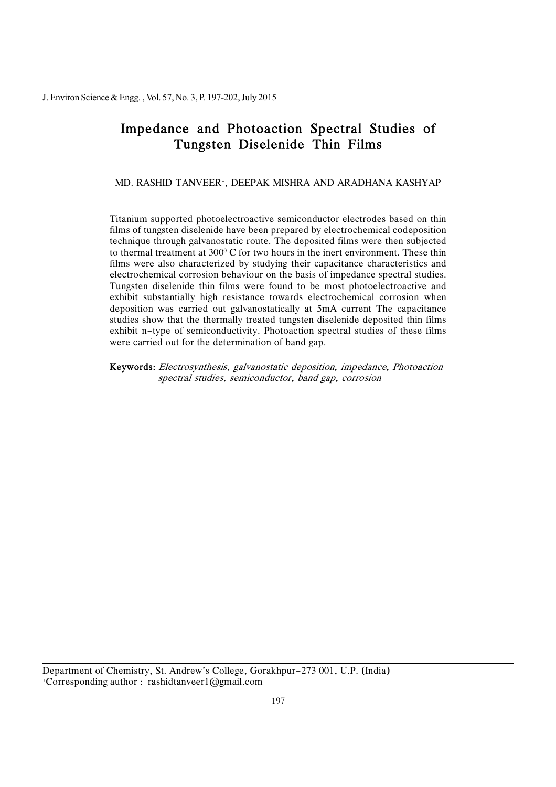# Impedance and Photoaction Spectral Studies of Tungsten Diselenide Thin Films

MD. RASHID TANVEER+, DEEPAK MISHRA AND ARADHANA KASHYAP

 Titanium supported photoelectroactive semiconductor electrodes based on thin films of tungsten diselenide have been prepared by electrochemical codeposition technique through galvanostatic route. The deposited films were then subjected to thermal treatment at  $300^{\circ}$  C for two hours in the inert environment. These thin films were also characterized by studying their capacitance characteristics and electrochemical corrosion behaviour on the basis of impedance spectral studies. Tungsten diselenide thin films were found to be most photoelectroactive and deposition was carried out galvanostatically at 5mA current The capacitance exhibit n-type of semiconductivity. Photoaction spectral studies of these films were carried out for the determination of band gap. exhibit substantially high resistance towards electrochemical corrosion when studies show that the thermally treated tungsten diselenide deposited thin films

Keywords: Electrosynthesis, galvanostatic deposition, impedance, Photoaction spectral studies, semiconductor, band gap, corrosion

 Department of Chemistry, St. Andrew's College, Gorakhpur-273 001, U.P. (India) +Corresponding author : rashidtanveer1@gmail.com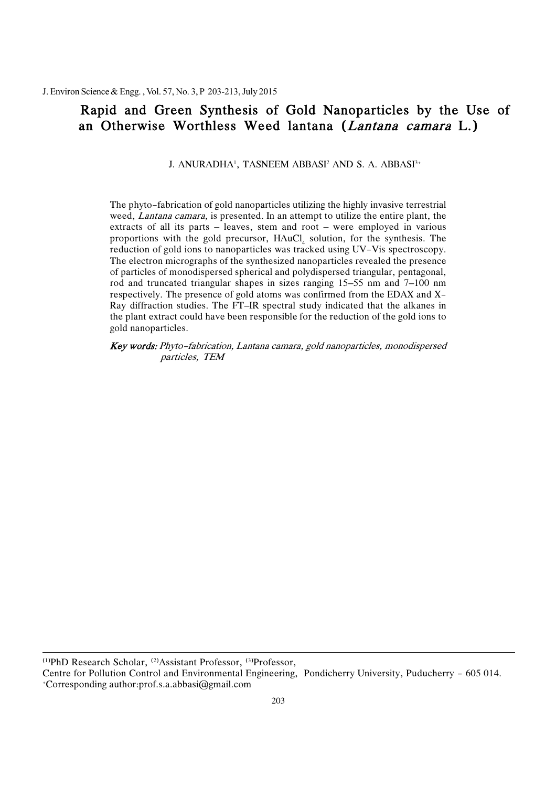## Rapid and Green Synthesis of Gold Nanoparticles by the Use of an Otherwise Worthless Weed lantana (*Lantana camara* L.)

J. ANURADHA<sup>1</sup>, TASNEEM ABBASI<sup>2</sup> AND S. A. ABBASI<sup>3+</sup>

 The phyto-fabrication of gold nanoparticles utilizing the highly invasive terrestrial weed, *Lantana camara*, is presented. In an attempt to utilize the entire plant, the extracts of all its parts – leaves, stem and root – were employed in various proportions with the gold precursor,  $HAuCl<sub>4</sub>$  solution, for the synthesis. The reduction of gold ions to nanoparticles was tracked using UV-Vis spectroscopy. of particles of monodispersed spherical and polydispersed triangular, pentagonal, rod and truncated triangular shapes in sizes ranging 15–55 nm and 7–100 nm respectively. The presence of gold atoms was confirmed from the EDAX and X- Ray diffraction studies. The FT–IR spectral study indicated that the alkanes in the plant extract could have been responsible for the reduction of the gold ions to The electron micrographs of the synthesized nanoparticles revealed the presence gold nanoparticles.

 Key words: Phyto-fabrication, Lantana camara, gold nanoparticles, monodispersed particles, TEM

(1)PhD Research Scholar, (2)Assistant Professor, (3)Professor,

 Centre for Pollution Control and Environmental Engineering, Pondicherry University, Puducherry - 605 014. +Corresponding author:prof.s.a.abbasi@gmail.com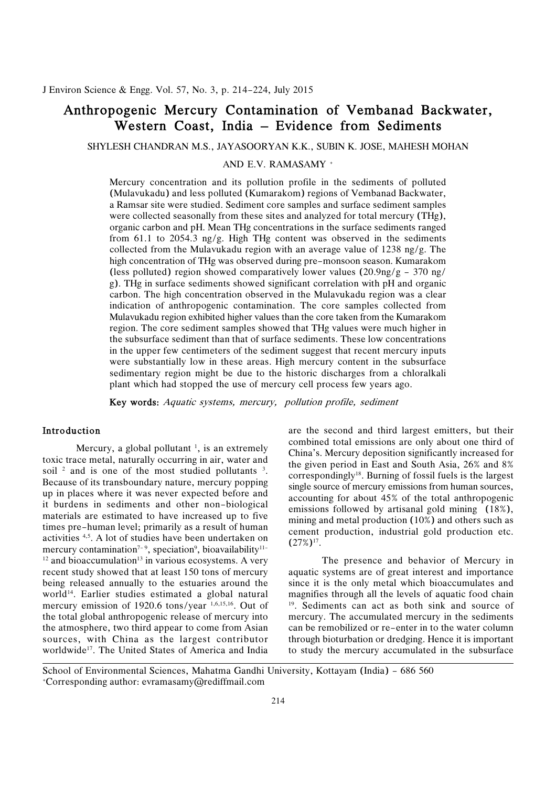### Anthropogenic Mercury Contamination of Vembanad Backwater, Western Coast, India – Evidence from Sediments

SHYLESH CHANDRAN M.S., JAYASOORYAN K.K., SUBIN K. JOSE, MAHESH MOHAN

AND E.V. RAMASAMY +

 Mercury concentration and its pollution profile in the sediments of polluted (Mulavukadu) and less polluted (Kumarakom) regions of Vembanad Backwater, were collected seasonally from these sites and analyzed for total mercury (THg), organic carbon and pH. Mean THg concentrations in the surface sediments ranged from 61.1 to 2054.3 ng/g. High THg content was observed in the sediments collected from the Mulavukadu region with an average value of 1238 ng/g. The high concentration of THg was observed during pre-monsoon season. Kumarakom (less polluted) region showed comparatively lower values  $(20.9 \text{ng/g} - 370 \text{ ng}$ / g). THg in surface sediments showed significant correlation with pH and organic Mulavukadu region exhibited higher values than the core taken from the Kumarakom region. The core sediment samples showed that THg values were much higher in the subsurface sediment than that of surface sediments. These low concentrations in the upper few centimeters of the sediment suggest that recent mercury inputs were substantially low in these areas. High mercury content in the subsurface sedimentary region might be due to the historic discharges from a chloralkali plant which had stopped the use of mercury cell process few years ago. a Ramsar site were studied. Sediment core samples and surface sediment samples carbon. The high concentration observed in the Mulavukadu region was a clear indication of anthropogenic contamination. The core samples collected from

Key words: Aquatic systems, mercury, pollution profile, sediment

### Introduction

Mercury, a global pollutant  $\frac{1}{1}$ , is an extremely toxic trace metal, naturally occurring in air, water and soil  $\frac{2}{3}$  and is one of the most studied pollutants  $\frac{3}{2}$ . Because of its transboundary nature, mercury popping up in places where it was never expected before and it burdens in sediments and other non-biological materials are estimated to have increased up to five times pre-human level; primarily as a result of human activities 4,5. A lot of studies have been undertaken on  $12$  and bioaccumulation<sup>13</sup> in various ecosystems. A very recent study showed that at least 150 tons of mercury being released annually to the estuaries around the world14. Earlier studies estimated a global natural the total global anthropogenic release of mercury into the atmosphere, two third appear to come from Asian sources, with China as the largest contributor mercury contamination<sup>7-9</sup>, speciation<sup>9</sup>, bioavailability<sup>11-</sup> mercury emission of 1920.6 tons/year 1,6,15,16. Out of worldwide<sup>17</sup>. The United States of America and India

 are the second and third largest emitters, but their the given period in East and South Asia, 26% and 8% correspondingly18. Burning of fossil fuels is the largest single source of mercury emissions from human sources, accounting for about 45% of the total anthropogenic emissions followed by artisanal gold mining (18%), mining and metal production (10%) and others such as cement production, industrial gold production etc. combined total emissions are only about one third of China's. Mercury deposition significantly increased for  $(27\%)^{17}$ .

 The presence and behavior of Mercury in aquatic systems are of great interest and importance since it is the only metal which bioaccumulates and magnifies through all the levels of aquatic food chain 19. Sediments can act as both sink and source of can be remobilized or re-enter in to the water column to study the mercury accumulated in the subsurface mercury. The accumulated mercury in the sediments through bioturbation or dredging. Hence it is important

 School of Environmental Sciences, Mahatma Gandhi University, Kottayam (India) - 686 560 +Corresponding author: evramasamy@rediffmail.com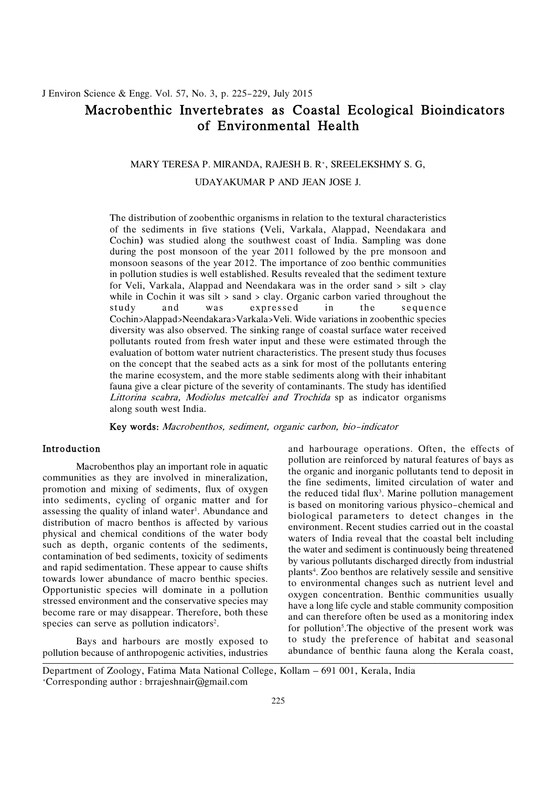### J. Environ Science & Engg. Vol. 57, No. 3, p. 225-229, July 2015

### Macrobenthic Invertebrates as Coastal Ecological Bioindicators of Environmental Health

### MARY TERESA P. MIRANDA, RAJESH B. R+, SREELEKSHMY S. G,

UDAYAKUMAR P AND JEAN JOSE J.

 The distribution of zoobenthic organisms in relation to the textural characteristics of the sediments in five stations (Veli, Varkala, Alappad, Neendakara and Cochin) was studied along the southwest coast of India. Sampling was done during the post monsoon of the year 2011 followed by the pre monsoon and monsoon seasons of the year 2012. The importance of zoo benthic communities in pollution studies is well established. Results revealed that the sediment texture for Veli, Varkala, Alappad and Neendakara was in the order sand > silt > clay while in Cochin it was silt > sand > clay. Organic carbon varied throughout the study Cochin>Alappad>Neendakara>Varkala>Veli. Wide variations in zoobenthic species diversity was also observed. The sinking range of coastal surface water received pollutants routed from fresh water input and these were estimated through the evaluation of bottom water nutrient characteristics. The present study thus focuses on the concept that the seabed acts as a sink for most of the pollutants entering the marine ecosystem, and the more stable sediments along with their inhabitant fauna give a clear picture of the severity of contaminants. The study has identified Littorina scabra, Modiolus metcalfei and Trochida sp as indicator organisms along south west India. and was expressed in the sequence

Key words: Macrobenthos, sediment, organic carbon, bio-indicator

Macrobenthos play an important role in aquatic communities as they are involved in mineralization. promotion and mixing of sediments, flux of oxygen assessing the quality of inland water<sup>1</sup>. Abundance and distribution of macro benthos is affected by various physical and chemical conditions of the water body such as depth, organic contents of the sediments, contamination of bed sediments, toxicity of sediments and rapid sedimentation. These appear to cause shifts towards lower abundance of macro benthic species. Opportunistic species will dominate in a pollution stressed environment and the conservative species may become rare or may disappear. Therefore, both these<br>species can serve as pollution indicators<sup>2</sup>.

pollution because of anthropogenic activities, industries

of the reduced tidal flux<sup>3</sup>. Marine pollution management into sediments, cycling of organic matter and for is based on monitoring various physico-chemical and assessing the quality of inland water<sup>1</sup>. Abundance and biolog Bays and harbours are mostly exposed to to study the preference of habitat and seasonal **Introduction and harbourage operations.** Often, the effects of pollution are reinforced by natural features of bays as the organic and inorganic pollutants tend to deposit in is based on monitoring various physico-chemical and biological parameters to detect changes in the environment. Recent studies carried out in the coastal waters of India reveal that the coastal belt including the water and sediment is continuously being threatened by various pollutants discharged directly from industrial plants<sup>4</sup>. Zoo benthos are relatively sessile and sensitive to environmental changes such as nutrient level and<br>oxygen concentration. Benthic communities usually have a long life cycle and stable community composition and can therefore often be used as a monitoring index . for pollution<sup>5</sup>. The objective of the present work was to study the preference of habitat and seasonal abundance of benthic fauna along the Kerala coast, Macrobenthos play an important role in aquatic<br>communities as they are involved in mineralization,<br>promotion and mixing of sediments, flux of oxygen<br>intervalsed in the reduced tidal flux<sup>3</sup>. Marine pollution management assessing the quality of inland water<sup>1</sup>. Abundance and<br>distribution of macro benthos is affected by various<br>physical and chemical conditions of the water body<br>such as depth, organic contents of the sediments,<br>contaminatio and rapid sculmentation. These appear to classe sints<br>towards lower abundance of macro benthic species.<br>Opportunistic species will dominate in a pollution<br>stressed environment and the conservative species may<br>become rare o

 Department of Zoology, Fatima Mata National College, Kollam – 691 001, Kerala, India +Corresponding author : brrajeshnair@gmail.com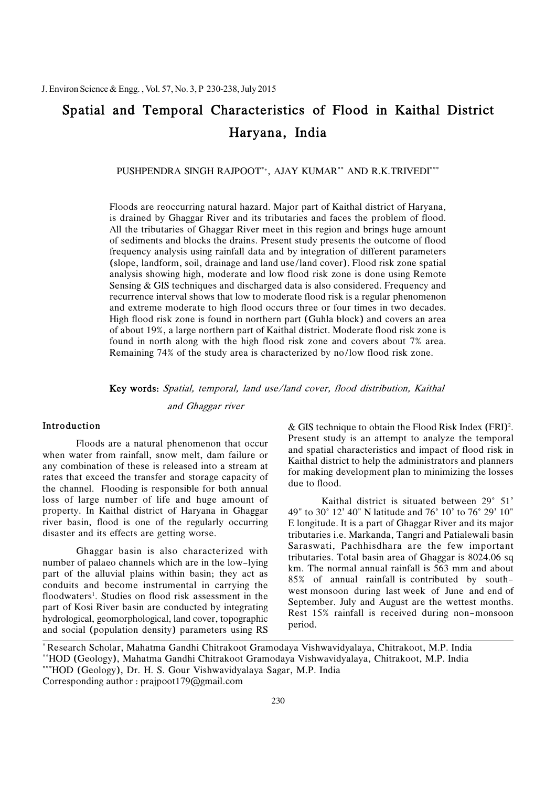# Spatial and Temporal Characteristics of Flood in Kaithal District Haryana, India

PUSHPENDRA SINGH RAJPOOT\*+, AJAY KUMAR\*\* AND R.K.TRIVEDI\*\*\*

 Floods are reoccurring natural hazard. Major part of Kaithal district of Haryana, is drained by Ghaggar River and its tributaries and faces the problem of flood. All the tributaries of Ghaggar River meet in this region and brings huge amount of sediments and blocks the drains. Present study presents the outcome of flood frequency analysis using rainfall data and by integration of different parameters (slope, landform, soil, drainage and land use/land cover). Flood risk zone spatial Sensing & GIS techniques and discharged data is also considered. Frequency and recurrence interval shows that low to moderate flood risk is a regular phenomenon and extreme moderate to high flood occurs three or four times in two decades. High flood risk zone is found in northern part (Guhla block) and covers an area of about 19%, a large northern part of Kaithal district. Moderate flood risk zone is found in north along with the high flood risk zone and covers about 7% area. Remaining 74% of the study area is characterized by no/low flood risk zone. analysis showing high, moderate and low flood risk zone is done using Remote

Key words: Spatial, temporal, land use/land cover, flood distribution, Kaithal

and Ghaggar river

Floods are a natural phenomenon that occur when water from rainfall, snow melt, dam failure or any combination of these is released into a stream at rates that exceed the transfer and storage capacity of the channel. Flooding is responsible for both annual loss of large number of life and huge amount of Kaithal district is situated between 29° 51' property. In Kaithal district of Haryana in Ghaggar river basin, flood is one of the regularly occurring disaster and its effects are getting worse.

Ghaggar basin is also characterized with number of palaeo channels which are in the low-lying part of the alluvial plains within basin; they act as conduits and become instrumental in carrying the floodwaters<sup>1</sup>. Studies on flood risk assessment in the part of Kosi River basin are conducted by integrating hydrological, geomorphological, land cover, topographic and social (population density) parameters using RS Floodwaters<sup>1</sup>. Studies on flood risk assessment in the<br>part of Kosi River basin are conducted by integrating<br>hydrological, geomorphological, land cover, topographic<br>and social (population density) parameters using RS<br>and

**Introduction**  $\&$  GIS technique to obtain the Flood Risk Index (FRI)<sup>2</sup>. Present study is an attempt to analyze the temporal and spatial characteristics and impact of flood risk in Kaithal district to help the administrators and planners for making development plan to minimizing the losses Floods are a natural phenomenon that occur<br>when water from rainfall, snow melt, dam failure or<br>any combination of these is released into a stream at<br>rates that exceed the transfer and storage capacity of<br>the channel. Flood

Kaithal district is situated between 29° 51' property. In Kaithal district of Haryana in Ghaggar 49" to 30° 12' 40" N latitude and 76° 10' to 76° 29' 10" river basin, flood is one of the regularly occurring Elongitude. It is a part of Ghaggar River and its major disaster and its effects are getting worse. The tributaries i.e. Markanda, Tangri and Patialewali basin Saraswati, Pachhisdhara are the few important tributaries. Total basin area of Ghaggar is 8024.06 sq km. The normal annual rainfall is 563 mm and about 85% of annual rainfall is contributed by southwest monsoon during last week of June and end of Rest 15% rainfall is received during non-monsoon Ghaggar basin is also characterized with<br>number of palaeo channels which are in the low-lying<br>part of the alluvial plains within basin; they act as<br>conduits and become instrumental in carrying the<br>floodwaters<sup>1</sup>. Studies o

Corresponding author : prajpoot179@gmail.com

<sup>\*</sup> Research Scholar, Mahatma Gandhi Chitrakoot Gramodaya Vishwavidyalaya, Chitrakoot, M.P. India \*\*HOD (Geology), Mahatma Gandhi Chitrakoot Gramodaya Vishwavidyalaya, Chitrakoot, M.P. India

 \*\*\*HOD (Geology), Dr. H. S. Gour Vishwavidyalaya Sagar, M.P. India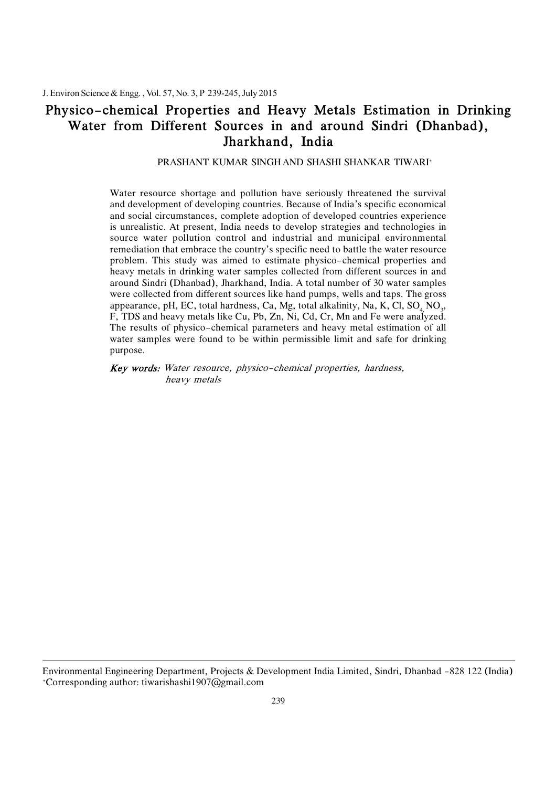### Physico-chemical Properties and Heavy Metals Estimation in Drinking Water from Different Sources in and around Sindri (Dhanbad), Jharkhand, India

PRASHANT KUMAR SINGH AND SHASHI SHANKAR TIWARI+

 Water resource shortage and pollution have seriously threatened the survival and development of developing countries. Because of India's specific economical and social circumstances, complete adoption of developed countries experience is unrealistic. At present, India needs to develop strategies and technologies in source water pollution control and industrial and municipal environmental remediation that embrace the country's specific need to battle the water resource problem. This study was aimed to estimate physico-chemical properties and heavy metals in drinking water samples collected from different sources in and around Sindri (Dhanbad), Jharkhand, India. A total number of 30 water samples were collected from different sources like hand pumps, wells and taps. The gross appearance, pH, EC, total hardness, Ca, Mg, total alkalinity, Na, K, Cl, SO<sub>4,</sub> NO<sub>3</sub>, F, TDS and heavy metals like Cu, Pb, Zn, Ni, Cd, Cr, Mn and Fe were analyzed. The results of physico-chemical parameters and heavy metal estimation of all water samples were found to be within permissible limit and safe for drinking purpose.

 Key words: Water resource, physico-chemical properties, hardness, heavy metals

 Environmental Engineering Department, Projects & Development India Limited, Sindri, Dhanbad -828 122 (India) +Corresponding author: tiwarishashi1907@gmail.com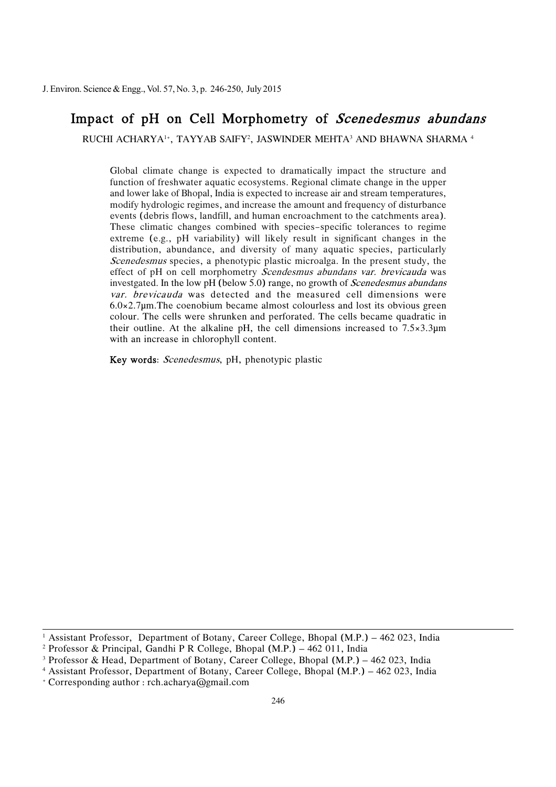### Impact of pH on Cell Morphometry of *Scenedesmus abundans*

RUCHI ACHARYA! $^{\rm\scriptscriptstyle +}$ , TAYYAB SAIFY $^{\rm\scriptscriptstyle 2}$ , JASWINDER MEHTA $^{\rm\scriptscriptstyle 3}$  AND BHAWNA SHARMA  $^{\rm\scriptscriptstyle 4}$ 

 Global climate change is expected to dramatically impact the structure and function of freshwater aquatic ecosystems. Regional climate change in the upper and lower lake of Bhopal, India is expected to increase air and stream temperatures, modify hydrologic regimes, and increase the amount and frequency of disturbance events (debris flows, landfill, and human encroachment to the catchments area). These climatic changes combined with species-specific tolerances to regime extreme (e.g., pH variability) will likely result in significant changes in the distribution, abundance, and diversity of many aquatic species, particularly effect of pH on cell morphometry Scendesmus abundans var. brevicauda was investgated. In the low pH (below 5.0) range, no growth of *Scenedesmus abundans* var. brevicauda was detected and the measured cell dimensions were 6.0×2.7µm.The coenobium became almost colourless and lost its obvious green colour. The cells were shrunken and perforated. The cells became quadratic in their outline. At the alkaline pH, the cell dimensions increased to  $7.5 \times 3.3 \mu m$  with an increase in chlorophyll content. Scenedesmus species, a phenotypic plastic microalga. In the present study, the

Key words: *Scenedesmus*, pH, phenotypic plastic

 1 Assistant Professor, Department of Botany, Career College, Bhopal (M.P.) – 462 023, India

 2 Professor & Principal, Gandhi P R College, Bhopal (M.P.) – 462 011, India

 3 Professor & Head, Department of Botany, Career College, Bhopal (M.P.) – 462 023, India

 4 Assistant Professor, Department of Botany, Career College, Bhopal (M.P.) – 462 023, India

 + Corresponding author : rch.acharya@gmail.com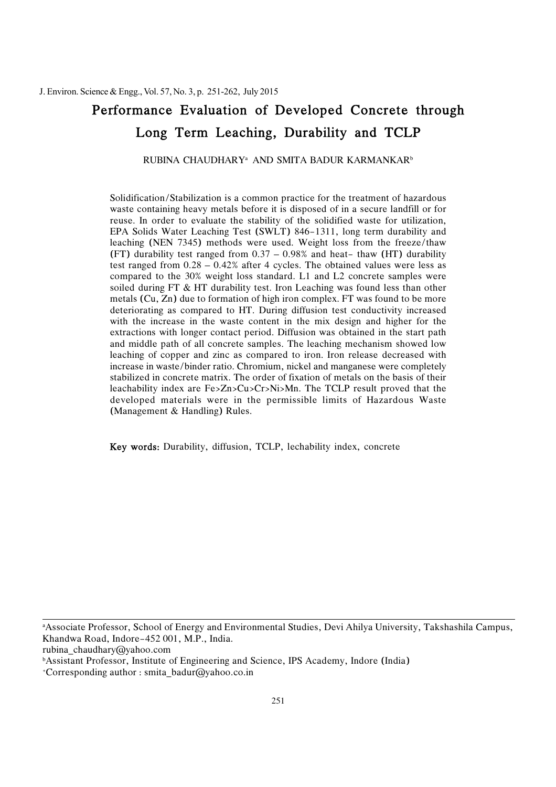# Performance Evaluation of Developed Concrete through Long Term Leaching, Durability and TCLP

RUBINA CHAUDHARY $^\mathrm{a}$  and smita badur karmankar $^\mathrm{b}$ 

 Solidification/Stabilization is a common practice for the treatment of hazardous waste containing heavy metals before it is disposed of in a secure landfill or for reuse. In order to evaluate the stability of the solidified waste for utilization, EPA Solids Water Leaching Test (SWLT) 846-1311, long term durability and leaching (NEN 7345) methods were used. Weight loss from the freeze/thaw (FT) durability test ranged from 0.37 – 0.98% and heat- thaw (HT) durability test ranged from 0.28 – 0.42% after 4 cycles. The obtained values were less as compared to the 30% weight loss standard. L1 and L2 concrete samples were soiled during FT & HT durability test. Iron Leaching was found less than other metals (Cu, Zn) due to formation of high iron complex. FT was found to be more deteriorating as compared to HT. During diffusion test conductivity increased with the increase in the waste content in the mix design and higher for the extractions with longer contact period. Diffusion was obtained in the start path and middle path of all concrete samples. The leaching mechanism showed low increase in waste/binder ratio. Chromium, nickel and manganese were completely stabilized in concrete matrix. The order of fixation of metals on the basis of their leachability index are Fe>Zn>Cu>Cr>Ni>Mn. The TCLP result proved that the developed materials were in the permissible limits of Hazardous Waste (Management & Handling) Rules. leaching of copper and zinc as compared to iron. Iron release decreased with

Key words: Durability, diffusion, TCLP, lechability index, concrete

 a Associate Professor, School of Energy and Environmental Studies, Devi Ahilya University, Takshashila Campus, Khandwa Road, Indore-452 001, M.P., India.

rubina\_chaudhary@yahoo.com

b Assistant Professor, Institute of Engineering and Science, IPS Academy, Indore (India)

+Corresponding author : smita\_badur@yahoo.co.in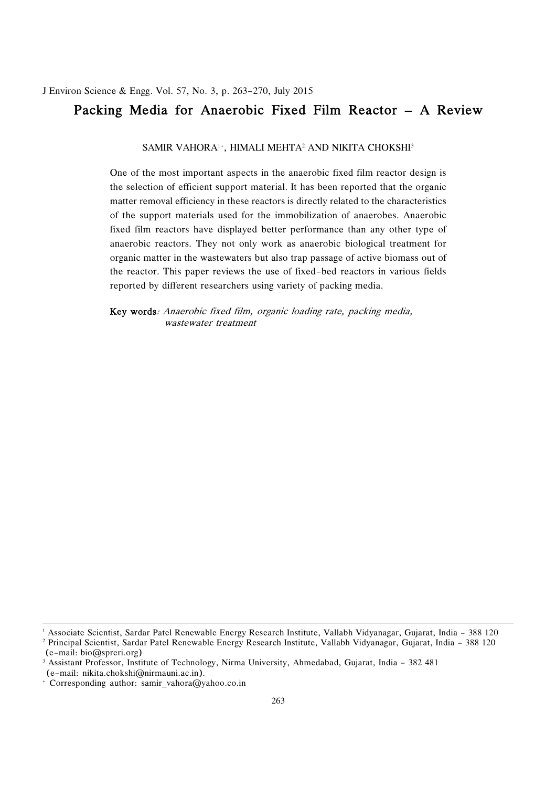# Packing Media for Anaerobic Fixed Film Reactor – A Review

SAMIR VAHORA1+, HIMALI MEHTA2 AND NIKITA CHOKSHI3

 One of the most important aspects in the anaerobic fixed film reactor design is matter removal efficiency in these reactors is directly related to the characteristics fixed film reactors have displayed better performance than any other type of anaerobic reactors. They not only work as anaerobic biological treatment for organic matter in the wastewaters but also trap passage of active biomass out of the reactor. This paper reviews the use of fixed-bed reactors in various fields reported by different researchers using variety of packing media. the selection of efficient support material. It has been reported that the organic of the support materials used for the immobilization of anaerobes. Anaerobic

 Key words: Anaerobic fixed film, organic loading rate, packing media, wastewater treatment

 1 Associate Scientist, Sardar Patel Renewable Energy Research Institute, Vallabh Vidyanagar, Gujarat, India - 388 120 2 Principal Scientist, Sardar Patel Renewable Energy Research Institute, Vallabh Vidyanagar, Gujarat, India - 388 120

<sup>(</sup>e-mail: bio@spreri.org)

 3 Assistant Professor, Institute of Technology, Nirma University, Ahmedabad, Gujarat, India - 382 481 (e-mail: nikita.chokshi@nirmauni.ac.in).

<sup>+</sup> Corresponding author: samir\_vahora@yahoo.co.in